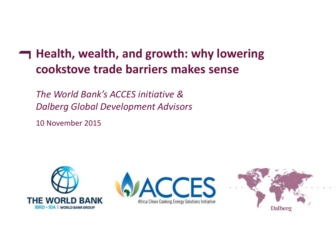# **Health, wealth, and growth: why lowering cookstove trade barriers makes sense**

*The World Bank's ACCES initiative & Dalberg Global Development Advisors*

10 November 2015





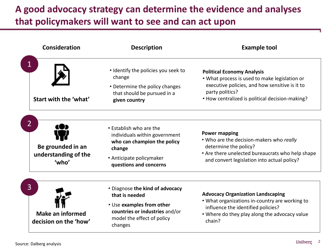# **A good advocacy strategy can determine the evidence and analyses that policymakers will want to see and can act upon**

| <b>Consideration</b>                                             | <b>Description</b>                                                                                                                                        | <b>Example tool</b><br><b>Political Economy Analysis</b><br>. What process is used to make legislation or<br>executive policies, and how sensitive is it to<br>party politics?<br>• How centralized is political decision-making? |  |
|------------------------------------------------------------------|-----------------------------------------------------------------------------------------------------------------------------------------------------------|-----------------------------------------------------------------------------------------------------------------------------------------------------------------------------------------------------------------------------------|--|
| Start with the 'what'                                            | • Identify the policies you seek to<br>change<br>• Determine the policy changes<br>that should be pursued in a<br>given country                           |                                                                                                                                                                                                                                   |  |
| Be grounded in an<br>understanding of the<br>'who'               | • Establish who are the<br>individuals within government<br>who can champion the policy<br>change<br>• Anticipate policymaker<br>questions and concerns   | <b>Power mapping</b><br>. Who are the decision-makers who really<br>determine the policy?<br>• Are there unelected bureaucrats who help shape<br>and convert legislation into actual policy?                                      |  |
| $\mathsf{3}$<br><b>Make an informed</b><br>decision on the 'how' | • Diagnose the kind of advocacy<br>that is needed<br>• Use examples from other<br>countries or industries and/or<br>model the effect of policy<br>changes | <b>Advocacy Organization Landscaping</b><br>. What organizations in-country are working to<br>influence the identified policies?<br>. Where do they play along the advocacy value<br>chain?                                       |  |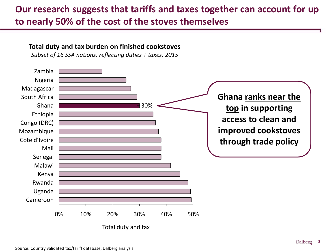### **Our research suggests that tariffs and taxes together can account for up to nearly 50% of the cost of the stoves themselves**

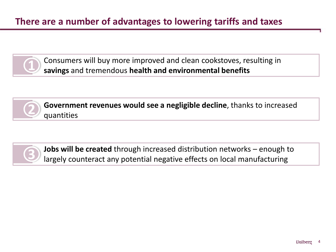

Consumers will buy more improved and clean cookstoves, resulting in **savings** and tremendous **health and environmental benefits**



**Government revenues would see a negligible decline**, thanks to increased quantities



**Jobs will be created** through increased distribution networks – enough to largely counteract any potential negative effects on local manufacturing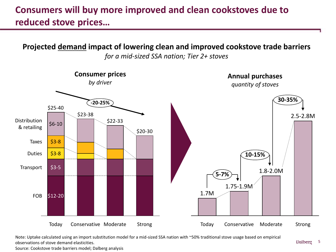### **Consumers will buy more improved and clean cookstoves due to reduced stove prices…**

**Projected demand impact of lowering clean and improved cookstove trade barriers**



*for a mid-sized SSA nation; Tier 2+ stoves*

Note: Uptake calculated using an import substitution model for a mid-sized SSA nation with ~50% traditional stove usage based on empirical observations of stove demand elasticities.

Source: Cookstove trade barriers model; Dalberg analysis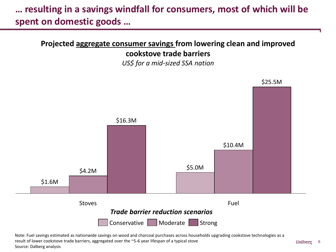## **… resulting in a savings windfall for consumers, most of which will be spent on domestic goods …**

### **Projected aggregate consumer savings from lowering clean and improved cookstove trade barriers**

*US\$ for a mid-sized SSA nation*



Note: Fuel savings estimated as nationwide savings on wood and charcoal purchases across households upgrading cookstove technologies as a result of lower cookstove trade barriers, aggregated over the ~5-6 year lifespan of a typical stove Source: Dalberg analysis

Dalberg 6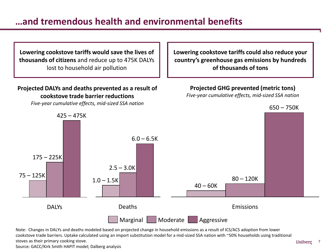### **…and tremendous health and environmental benefits**

**Lowering cookstove tariffs would save the lives of thousands of citizens** and reduce up to 475K DALYs lost to household air pollution

#### **Projected DALYs and deaths prevented as a result of cookstove trade barrier reductions**

*Five-year cumulative effects, mid-sized SSA nation*

**Lowering cookstove tariffs could also reduce your country's greenhouse gas emissions by hundreds of thousands of tons**

**Projected GHG prevented (metric tons)**

*Five-year cumulative effects, mid-sized SSA nation*



Note: Changes in DALYs and deaths modeled based on projected change in household emissions as a result of ICS/ACS adoption from lower cookstove trade barriers. Uptake calculated using an import substitution model for a mid-sized SSA nation with ~50% households using traditional stoves as their primary cooking stove.

Source: GACC/Kirk Smith HAPIT model; Dalberg analysis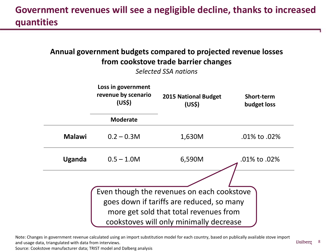## **Government revenues will see a negligible decline, thanks to increased quantities**

### **Annual government budgets compared to projected revenue losses from cookstove trade barrier changes**  *Selected SSA nations* **Loss in government revenue by scenario (US\$) 2015 National Budget (US\$) Short-term budget loss Moderate Malawi** 0.2 – 0.3M **1,630M** .01% to .02% **Uganda** 0.5 – 1.0M 6,590M .01% to .02% Even though the revenues on each cookstove goes down if tariffs are reduced, so many more get sold that total revenues from cookstoves will only minimally decrease

Note: Changes in government revenue calculated using an import substitution model for each country, based on publically available stove import and usage data, triangulated with data from interviews.

Source: Cookstove manufacturer data; TRIST model and Dalberg analysis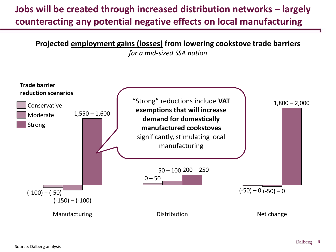# **Jobs will be created through increased distribution networks – largely counteracting any potential negative effects on local manufacturing**

**Projected employment gains (losses) from lowering cookstove trade barriers**

*for a mid-sized SSA nation*

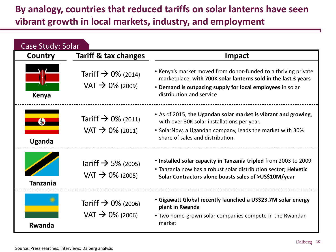## **By analogy, countries that reduced tariffs on solar lanterns have seen vibrant growth in local markets, industry, and employment**

| Case Study: Solar |                                                        |                                                                                                                                                                                                                           |  |  |
|-------------------|--------------------------------------------------------|---------------------------------------------------------------------------------------------------------------------------------------------------------------------------------------------------------------------------|--|--|
| Country           | <b>Tariff &amp; tax changes</b>                        | <b>Impact</b>                                                                                                                                                                                                             |  |  |
| Kenya             | Tariff $\rightarrow$ 0% (2014)<br>$VAT \to 0\%$ (2009) | • Kenya's market moved from donor-funded to a thriving private<br>marketplace, with 700K solar lanterns sold in the last 3 years<br>• Demand is outpacing supply for local employees in solar<br>distribution and service |  |  |
| Uganda            | Tariff $\rightarrow$ 0% (2011)<br>$VAT \to 0\%$ (2011) | . As of 2015, the Ugandan solar market is vibrant and growing,<br>with over 30K solar installations per year.<br>• SolarNow, a Ugandan company, leads the market with 30%<br>share of sales and distribution.             |  |  |
| <b>Tanzania</b>   | Tariff $\rightarrow$ 5% (2005)<br>$VAT \to 0\%$ (2005) | • Installed solar capacity in Tanzania tripled from 2003 to 2009<br>. Tanzania now has a robust solar distribution sector; Helvetic<br>Solar Contractors alone boasts sales of >US\$10M/year                              |  |  |
| Rwanda            | Tariff $\rightarrow$ 0% (2006)<br>$VAT \to 0\%$ (2006) | • Gigawatt Global recently launched a US\$23.7M solar energy<br>plant in Rwanda<br>• Two home-grown solar companies compete in the Rwandan<br>market                                                                      |  |  |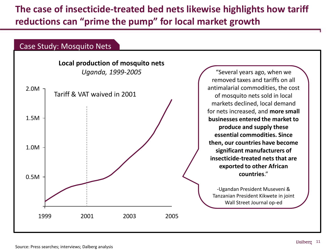**The case of insecticide-treated bed nets likewise highlights how tariff reductions can "prime the pump" for local market growth** 

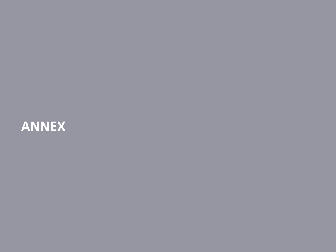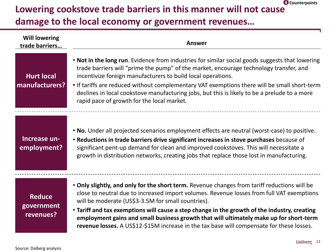### **Lowering cookstove trade barriers in this manner will not cause damage to the local economy or government revenues… 4 Counterpoints**

| <b>Will lowering</b><br>trade barriers   | <b>Answer</b>                                                                                                                                                                                                                                                                                                                                                                                                                                                                                                                          |
|------------------------------------------|----------------------------------------------------------------------------------------------------------------------------------------------------------------------------------------------------------------------------------------------------------------------------------------------------------------------------------------------------------------------------------------------------------------------------------------------------------------------------------------------------------------------------------------|
| <b>Hurt local</b><br>manufacturers?      | . Not in the long run. Evidence from industries for similar social goods suggests that lowering<br>trade barriers will "prime the pump" of the market, encourage technology transfer, and<br>incentivize foreign manufacturers to build local operations.<br>• If tariffs are reduced without complementary VAT exemptions there will be small short-term<br>declines in local cookstove manufacturing jobs, but this is likely to be a prelude to a more<br>rapid pace of growth for the local market.                                |
| Increase un-<br>employment?              | . No. Under all projected scenarios employment effects are neutral (worst-case) to positive.<br>• Reductions in trade barriers drive significant increases in stove purchases because of<br>significant pent-up demand for clean and improved cookstoves. This will necessitate a<br>growth in distribution networks, creating jobs that replace those lost in manufacturing.                                                                                                                                                          |
| <b>Reduce</b><br>government<br>revenues? | . Only slightly, and only for the short term. Revenue changes from tariff reductions will be<br>close to neutral due to increased import volumes. Revenue losses from full VAT exemptions<br>will be moderate (US\$3-3.5M for small countries).<br>• Tariff and tax exemptions will cause a step change in the growth of the industry, creating<br>employment gains and small business growth that will ultimately make up for short-term<br>revenue losses. A US\$12-\$15M increase in the tax base will compensate for these losses. |